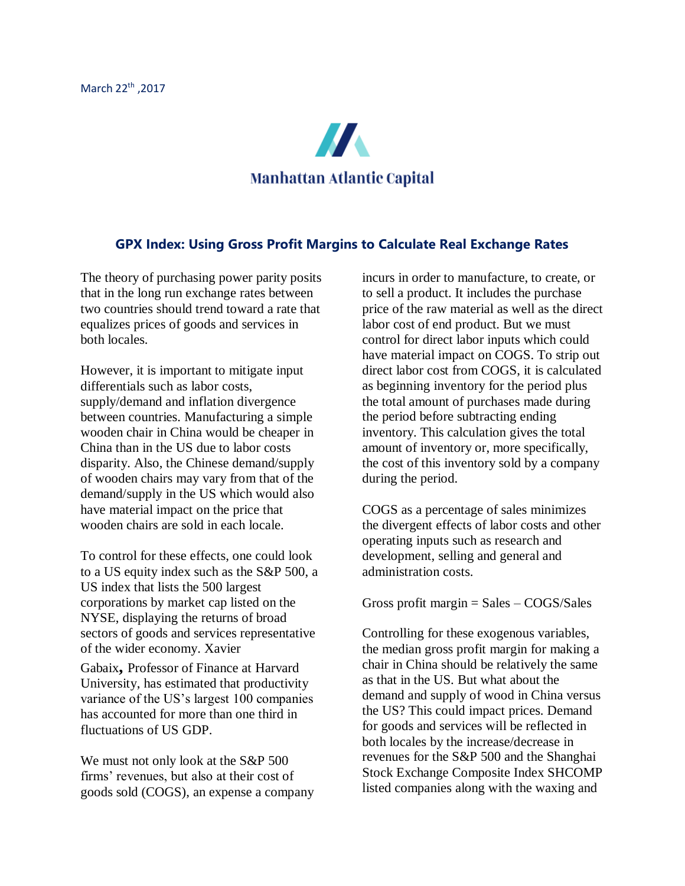

## **GPX Index: Using Gross Profit Margins to Calculate Real Exchange Rates**

The theory of purchasing power parity posits that in the long run exchange rates between two countries should trend toward a rate that equalizes prices of goods and services in both locales.

However, it is important to mitigate input differentials such as labor costs, supply/demand and inflation divergence between countries. Manufacturing a simple wooden chair in China would be cheaper in China than in the US due to labor costs disparity. Also, the Chinese demand/supply of wooden chairs may vary from that of the demand/supply in the US which would also have material impact on the price that wooden chairs are sold in each locale.

To control for these effects, one could look to a US equity index such as the S&P 500, a US index that lists the 500 largest corporations by market cap listed on the NYSE, displaying the returns of broad sectors of goods and services representative of the wider economy. Xavier

Gabaix**,** Professor of Finance at Harvard University, has estimated that productivity variance of the US's largest 100 companies has accounted for more than one third in fluctuations of US GDP.

We must not only look at the S&P 500 firms' revenues, but also at their cost of goods sold (COGS), an expense a company

incurs in order to manufacture, to create, or to sell a product. It includes the purchase price of the raw material as well as the direct labor cost of end product. But we must control for direct labor inputs which could have material impact on COGS. To strip out direct labor cost from COGS, it is calculated as beginning inventory for the period plus the total amount of purchases made during the period before subtracting ending inventory. This calculation gives the total amount of inventory or, more specifically, the cost of this inventory sold by a company during the period.

COGS as a percentage of sales minimizes the divergent effects of labor costs and other operating inputs such as research and development, selling and general and administration costs.

Gross profit margin  $=$  Sales  $-$  COGS/Sales

Controlling for these exogenous variables, the median gross profit margin for making a chair in China should be relatively the same as that in the US. But what about the demand and supply of wood in China versus the US? This could impact prices. Demand for goods and services will be reflected in both locales by the increase/decrease in revenues for the S&P 500 and the Shanghai Stock Exchange Composite Index SHCOMP listed companies along with the waxing and